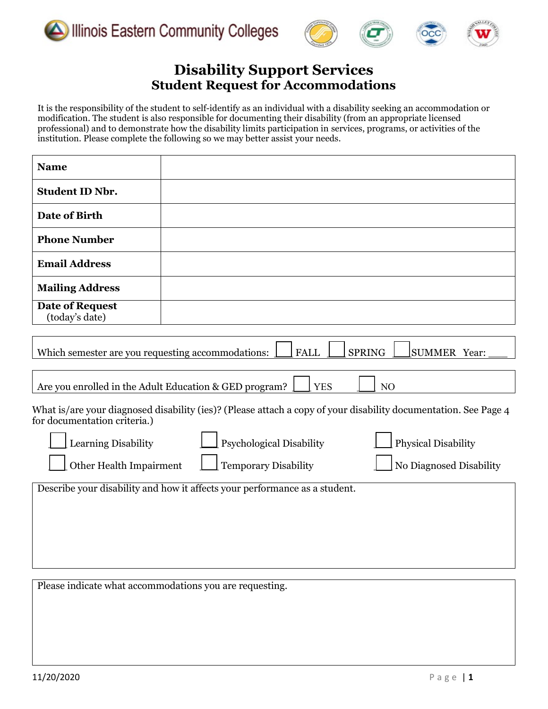





# **Disability Support Services Student Request for Accommodations**

It is the responsibility of the student to self-identify as an individual with a disability seeking an accommodation or modification. The student is also responsible for documenting their disability (from an appropriate licensed professional) and to demonstrate how the disability limits participation in services, programs, or activities of the institution. Please complete the following so we may better assist your needs.

| <b>Name</b>                                                                                                                                                                                        |                                                        |  |  |  |  |
|----------------------------------------------------------------------------------------------------------------------------------------------------------------------------------------------------|--------------------------------------------------------|--|--|--|--|
| <b>Student ID Nbr.</b>                                                                                                                                                                             |                                                        |  |  |  |  |
| Date of Birth                                                                                                                                                                                      |                                                        |  |  |  |  |
| <b>Phone Number</b>                                                                                                                                                                                |                                                        |  |  |  |  |
| <b>Email Address</b>                                                                                                                                                                               |                                                        |  |  |  |  |
| <b>Mailing Address</b>                                                                                                                                                                             |                                                        |  |  |  |  |
| <b>Date of Request</b><br>(today's date)                                                                                                                                                           |                                                        |  |  |  |  |
| Which semester are you requesting accommodations:<br><b>FALL</b><br><b>SPRING</b><br><b>SUMMER Year:</b><br>Are you enrolled in the Adult Education & GED program?<br><b>YES</b><br>N <sub>O</sub> |                                                        |  |  |  |  |
| What is/are your diagnosed disability (ies)? (Please attach a copy of your disability documentation. See Page 4<br>for documentation criteria.)                                                    |                                                        |  |  |  |  |
| Learning Disability                                                                                                                                                                                | <b>Psychological Disability</b><br>Physical Disability |  |  |  |  |
| <b>Temporary Disability</b><br>Other Health Impairment<br>No Diagnosed Disability                                                                                                                  |                                                        |  |  |  |  |
| Describe your disability and how it affects your performance as a student.                                                                                                                         |                                                        |  |  |  |  |
|                                                                                                                                                                                                    |                                                        |  |  |  |  |
|                                                                                                                                                                                                    |                                                        |  |  |  |  |

Please indicate what accommodations you are requesting.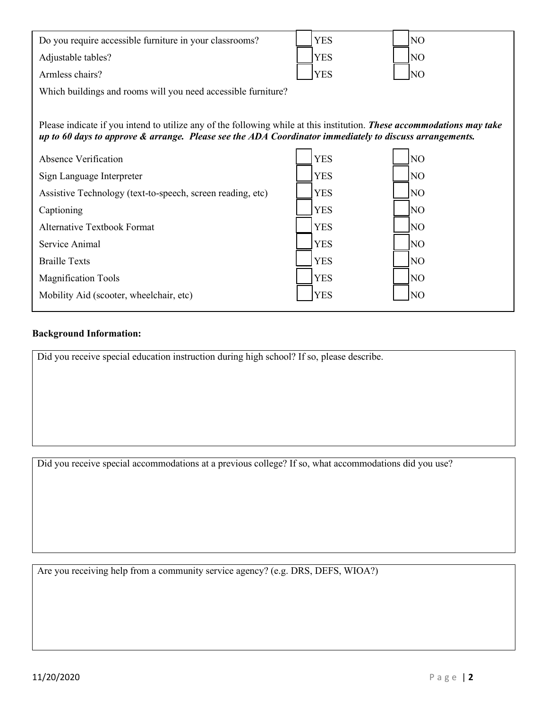| Do you require accessible furniture in your classrooms?                                                                | <b>YES</b> | NO              |  |  |  |
|------------------------------------------------------------------------------------------------------------------------|------------|-----------------|--|--|--|
| Adjustable tables?                                                                                                     | <b>YES</b> | N <sub>O</sub>  |  |  |  |
| Armless chairs?                                                                                                        | <b>YES</b> | N <sub>O</sub>  |  |  |  |
| Which buildings and rooms will you need accessible furniture?                                                          |            |                 |  |  |  |
|                                                                                                                        |            |                 |  |  |  |
| Please indicate if you intend to utilize any of the following while at this institution. These accommodations may take |            |                 |  |  |  |
| up to 60 days to approve & arrange. Please see the ADA Coordinator immediately to discuss arrangements.                |            |                 |  |  |  |
| Absence Verification                                                                                                   | <b>YES</b> | NO <sub>1</sub> |  |  |  |
| Sign Language Interpreter                                                                                              | <b>YES</b> | N <sub>O</sub>  |  |  |  |
| Assistive Technology (text-to-speech, screen reading, etc)                                                             | <b>YES</b> | N <sub>O</sub>  |  |  |  |
| Captioning                                                                                                             | <b>YES</b> | N <sub>O</sub>  |  |  |  |
| <b>Alternative Textbook Format</b>                                                                                     | <b>YES</b> | N <sub>O</sub>  |  |  |  |
| Service Animal                                                                                                         | <b>YES</b> | N <sub>O</sub>  |  |  |  |
| <b>Braille Texts</b>                                                                                                   | <b>YES</b> | N <sub>O</sub>  |  |  |  |
| <b>Magnification Tools</b>                                                                                             | <b>YES</b> | NO <sub>1</sub> |  |  |  |
| Mobility Aid (scooter, wheelchair, etc)                                                                                | <b>YES</b> | N <sub>O</sub>  |  |  |  |
|                                                                                                                        |            |                 |  |  |  |

### **Background Information:**

Did you receive special education instruction during high school? If so, please describe.

Did you receive special accommodations at a previous college? If so, what accommodations did you use?

Are you receiving help from a community service agency? (e.g. DRS, DEFS, WIOA?)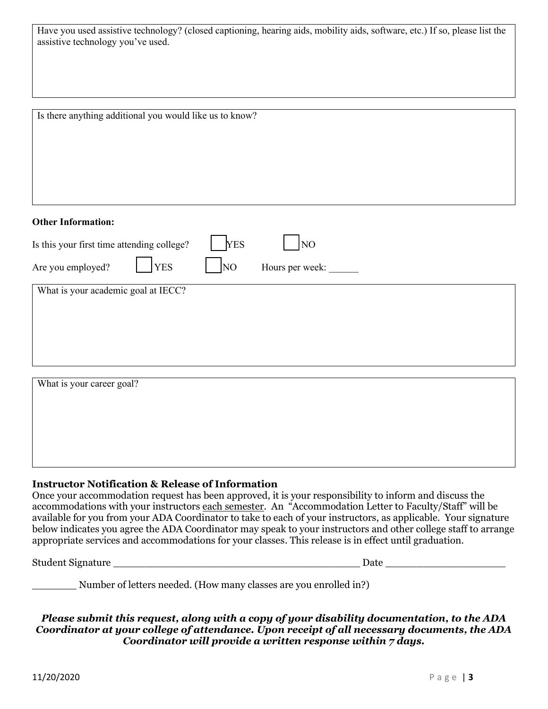| Have you used assistive technology? (closed captioning, hearing aids, mobility aids, software, etc.) If so, please list the |  |  |
|-----------------------------------------------------------------------------------------------------------------------------|--|--|
| assistive technology you've used.                                                                                           |  |  |

| Is there anything additional you would like us to know?        |
|----------------------------------------------------------------|
|                                                                |
|                                                                |
|                                                                |
|                                                                |
|                                                                |
| <b>Other Information:</b>                                      |
| <b>YES</b><br>NO<br>Is this your first time attending college? |
| <b>YES</b><br>Are you employed?<br>NO<br>Hours per week:       |
| What is your academic goal at IECC?                            |
|                                                                |
|                                                                |
|                                                                |
|                                                                |
|                                                                |
| What is your career goal?                                      |
|                                                                |
|                                                                |
|                                                                |

#### **Instructor Notification & Release of Information**

Once your accommodation request has been approved, it is your responsibility to inform and discuss the accommodations with your instructors each semester. An "Accommodation Letter to Faculty/Staff" will be available for you from your ADA Coordinator to take to each of your instructors, as applicable. Your signature below indicates you agree the ADA Coordinator may speak to your instructors and other college staff to arrange appropriate services and accommodations for your classes. This release is in effect until graduation.

Student Signature \_\_\_\_\_\_\_\_\_\_\_\_\_\_\_\_\_\_\_\_\_\_\_\_\_\_\_\_\_\_\_\_\_\_\_\_\_\_\_ Date \_\_\_\_\_\_\_\_\_\_\_\_\_\_\_\_\_\_\_

\_\_\_\_\_\_\_ Number of letters needed. (How many classes are you enrolled in?)

*Please submit this request, along with a copy of your disability documentation, to the ADA Coordinator at your college of attendance. Upon receipt of all necessary documents, the ADA Coordinator will provide a written response within 7 days.*